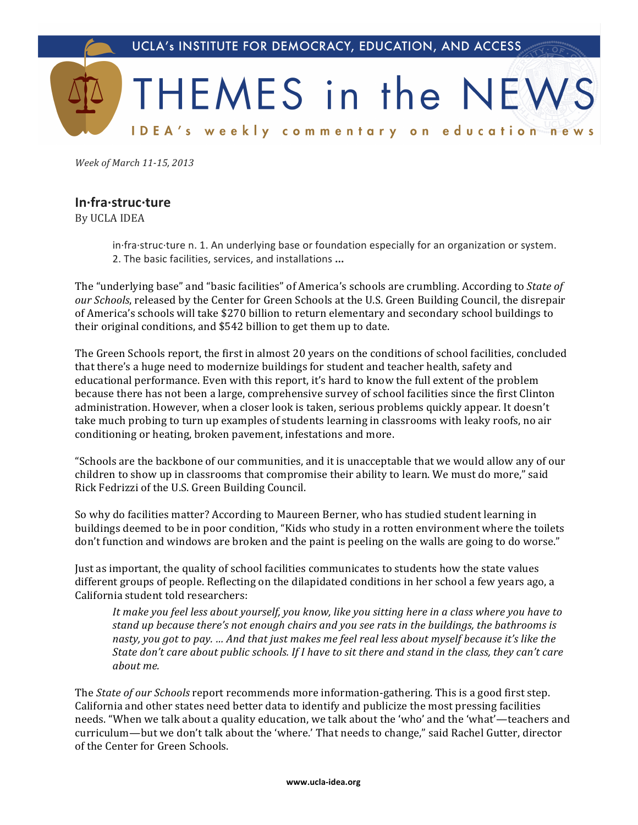

Week of March 11-15, 2013

## In-fra-struc-ture

By UCLA IDEA

in fra struc ture n. 1. An underlying base or foundation especially for an organization or system. 2. The basic facilities, services, and installations ...

The "underlying base" and "basic facilities" of America's schools are crumbling. According to State of our Schools, released by the Center for Green Schools at the U.S. Green Building Council, the disrepair of America's schools will take \$270 billion to return elementary and secondary school buildings to their original conditions, and \$542 billion to get them up to date.

The Green Schools report, the first in almost 20 years on the conditions of school facilities, concluded that there's a huge need to modernize buildings for student and teacher health, safety and educational performance. Even with this report, it's hard to know the full extent of the problem because there has not been a large, comprehensive survey of school facilities since the first Clinton administration. However, when a closer look is taken, serious problems quickly appear. It doesn't take much probing to turn up examples of students learning in classrooms with leaky roofs, no air conditioning or heating, broken pavement, infestations and more.

"Schools are the backbone of our communities, and it is unacceptable that we would allow any of our children to show up in classrooms that compromise their ability to learn. We must do more," said Rick Fedrizzi of the U.S. Green Building Council.

So why do facilities matter? According to Maureen Berner, who has studied student learning in buildings deemed to be in poor condition, "Kids who study in a rotten environment where the toilets don't function and windows are broken and the paint is peeling on the walls are going to do worse."

Just as important, the quality of school facilities communicates to students how the state values different groups of people. Reflecting on the dilapidated conditions in her school a few years ago, a California student told researchers:

It make you feel less about yourself, you know, like you sitting here in a class where you have to stand up because there's not enough chairs and you see rats in the buildings, the bathrooms is nasty, you got to pay. ... And that just makes me feel real less about myself because it's like the State don't care about public schools. If I have to sit there and stand in the class, they can't care about me.

The *State of our Schools* report recommends more information-gathering. This is a good first step. California and other states need better data to identify and publicize the most pressing facilities needs. "When we talk about a quality education, we talk about the 'who' and the 'what'—teachers and curriculum-but we don't talk about the 'where.' That needs to change," said Rachel Gutter, director of the Center for Green Schools.